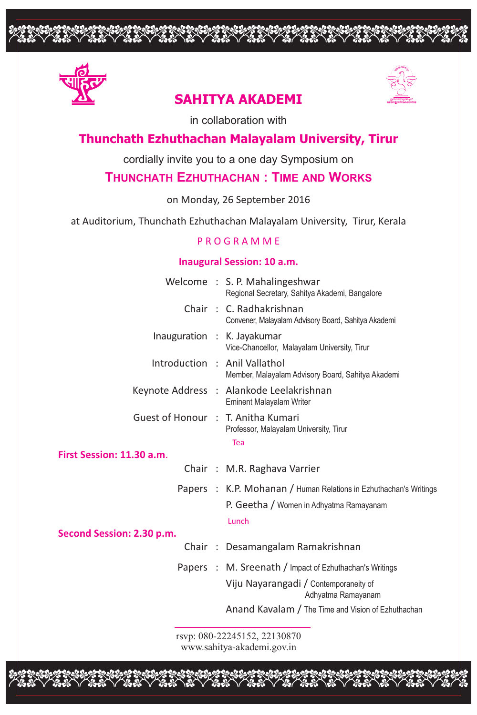

# **SAHITYA AKADEMI**

opopopopoppopopooppoppopoo



in collaboration with

## **Thunchath Ezhuthachan Malayalam University, Tirur**

cordially invite you to a one day Symposium on

## **THUNCHATH EZHUTHACHAN : TIME AND WORKS**

on Monday, 26 September 2016

at Auditorium, Thunchath Ezhuthachan Malayalam University, Tirur, Kerala

## P R O G R A M M E

### **Inaugural Session: 10 a.m.**

|                                    |  | Welcome : S. P. Mahalingeshwar<br>Regional Secretary, Sahitya Akademi, Bangalore   |  |  |  |
|------------------------------------|--|------------------------------------------------------------------------------------|--|--|--|
|                                    |  | Chair: C. Radhakrishnan<br>Convener, Malayalam Advisory Board, Sahitya Akademi     |  |  |  |
|                                    |  | Inauguration : K. Jayakumar<br>Vice-Chancellor, Malayalam University, Tirur        |  |  |  |
|                                    |  | Introduction : Anil Vallathol<br>Member, Malayalam Advisory Board, Sahitya Akademi |  |  |  |
|                                    |  | Keynote Address : Alankode Leelakrishnan<br><b>Eminent Malayalam Writer</b>        |  |  |  |
| Guest of Honour : T. Anitha Kumari |  | Professor, Malayalam University, Tirur<br>Tea                                      |  |  |  |
| First Session: 11.30 a.m.          |  |                                                                                    |  |  |  |
|                                    |  | Chair: M.R. Raghava Varrier                                                        |  |  |  |
|                                    |  | Papers : K.P. Mohanan / Human Relations in Ezhuthachan's Writings                  |  |  |  |
|                                    |  | P. Geetha / Women in Adhyatma Ramayanam                                            |  |  |  |
|                                    |  | Lunch                                                                              |  |  |  |
| Second Session: 2.30 p.m.          |  |                                                                                    |  |  |  |
|                                    |  | Chair: Desamangalam Ramakrishnan                                                   |  |  |  |
|                                    |  | Papers : M. Sreenath / Impact of Ezhuthachan's Writings                            |  |  |  |
|                                    |  | Viju Nayarangadi / Contemporaneity of<br>Adhyatma Ramayanam                        |  |  |  |
|                                    |  | Anand Kavalam / The Time and Vision of Ezhuthachan                                 |  |  |  |
| rsvp: 080-22245152, 22130870       |  |                                                                                    |  |  |  |
|                                    |  |                                                                                    |  |  |  |

www.sahitya-akademi.gov.in

opopopulation was composited to composite the composite of the composite of the composite the compo<br>International poppopulation to the composite the composite that the composite that is composite that it is the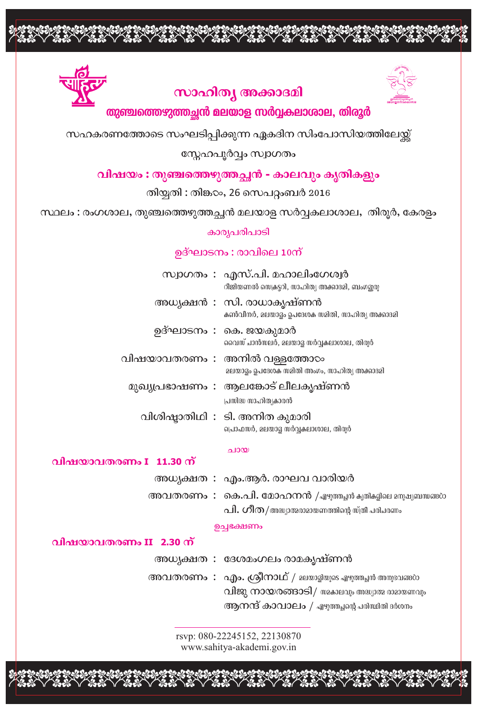

# സാഹിത്യ അക്കാദമി



## തുഞ്ചത്തെഴുത്തച്ഛൻ മലയാള സർവ്വകലാശാല, തിരൂർ

സഹകരണത്തോടെ സംഘടിപ്പിക്കുന്ന ഏകദിന സിംപോസിയത്തിലേയ്ക്

## സ്നേഹപൂർവ്വം സ്വാഗതം

## വിഷയം : തുഞ്ചത്തെഴുത്തച്ഛൻ - കാലവും കൃതികളും

തിയ്യതി : തിങ്ക $\infty$ , 26 സെപറ്റംബർ 2016

സ്ഥലം : രംഗശാല, തുഞ്ചത്തെഴുത്തച്ഛൻ മലയാള സർവ്വകലാശാല, തിരൂർ, കേരളം

#### കാര്യപരിപാടി

## ഉദ്ഘാടനം : രാവിലെ 10ന്

|  | സ്വാഗതം : എസ്.പി. മഹാലിംഗേശ്വർ<br>റീജിയണൽ സെക്രട്ടറി, സാഹിത്യ അക്കാദമി, ബംഗളൂരു     |
|--|-------------------------------------------------------------------------------------|
|  | അധ്യക്ഷൻ : സി. രാധാകൃഷ്ണൻ<br>കൺവീനർ, മലയാദ്ദം ഉപദേശക സമിതി, സാഹിത്യ അക്കാദമി        |
|  | ഉദ്ഘാടനം : കെ. ജയകുമാർ<br>വൈസ് ചാൻസലർ, മലയാദ് സർവ്വകലാശാല, തിരുർ                    |
|  | വിഷയാവതരണം : അനിൽ വള്ളത്തോ $\infty$<br>മലയാദ്ദം ഉപദേശക സമിതി അംഗം, സാഹിത്യ അക്കാദമി |
|  | മുഖ്യപ്രഭാഷണം : ആലങ്കോട് ലീലകൃഷ്ണൻ<br>പ്രസിദ്ധ സാഹിത്യകാരൻ                          |
|  | വിശിഷ്ടാതിഥി : ടി. അനിത കുമാരി<br>പ്രൊഫസർ, മലയാദ്ദ സർവ്വകലാശാല, തിരുർ               |

#### ചായ

### വിഷയാവതരണം I 11.30 ന്

| അധ്യക്ഷത : എം.ആർ. രാഘവ വാരിയർ                              |
|------------------------------------------------------------|
| അവതരണം: കെ.പി. മോഹനൻ /എഴുത്തച്ഛൻ കൃതികളിലെ മനുഷ്യബന്ധങ്ങറാ |
| പി. ഗീത/അധ്യാത്മരാമായണത്തിന്റെ സ്ത്രീ പരിചരണം              |

#### ഉച്ചഭക്ഷണം

### വിഷയാവതരണം II 2.30 ന്

| അധ്യക്ഷത : ദേശമംഗലം രാമകൃഷ്ണൻ                           |
|---------------------------------------------------------|
| അവതരണം: എം. ശ്രീനാഥ് / മലയാളിയുടെ എഴുത്തച്ഛൻ അനുഭവങ്ങറാ |
| വിജു നായരങ്ങാടി/ waകാലവും അധ്യാത്മ രാമായണവും            |
| ആനന്ദ് കാവാലം / എഴുത്തച്ഛന്റെ പരിസ്ഥിതി ദർശനം           |

rsvp: 080-22245152, 22130870 www.sahitya-akademi.gov.in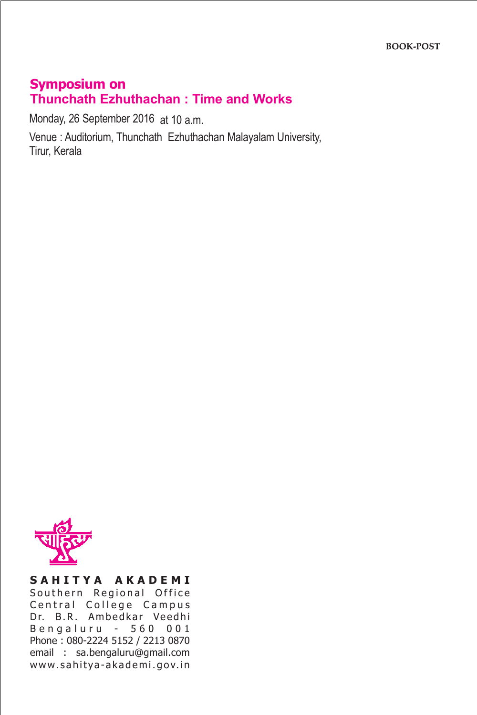# **Symposium on Thunchath Ezhuthachan : Time and Works**

Monday, 26 September 2016 at 10 a.m.

Venue : Auditorium, Thunchath Ezhuthachan Malayalam University, Tirur, Kerala



### **S A H I T Y A A K A D E M I** Southern Regional Office Central College Campus Dr. B.R. Ambedkar Veedhi Bengaluru - 560 001 Phone : 080-2224 5152 / 2213 0870 email : sa.bengaluru@gmail.com www.sahitya-akademi.gov.in